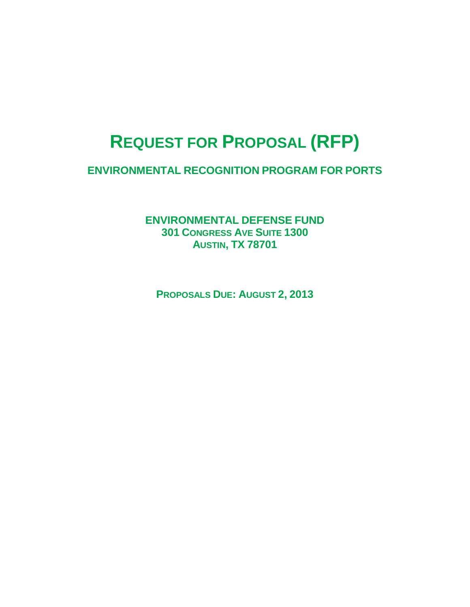# **REQUEST FOR PROPOSAL (RFP)**

**ENVIRONMENTAL RECOGNITION PROGRAM FOR PORTS**

**ENVIRONMENTAL DEFENSE FUND 301 CONGRESS AVE SUITE 1300 AUSTIN, TX 78701**

**PROPOSALS DUE: AUGUST 2, 2013**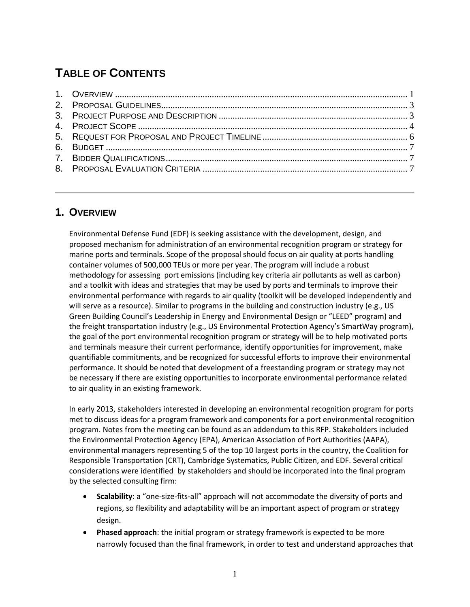# **TABLE OF CONTENTS**

# **1. OVERVIEW**

Environmental Defense Fund (EDF) is seeking assistance with the development, design, and proposed mechanism for administration of an environmental recognition program or strategy for marine ports and terminals. Scope of the proposal should focus on air quality at ports handling container volumes of 500,000 TEUs or more per year. The program will include a robust methodology for assessing port emissions (including key criteria air pollutants as well as carbon) and a toolkit with ideas and strategies that may be used by ports and terminals to improve their environmental performance with regards to air quality (toolkit will be developed independently and will serve as a resource). Similar to programs in the building and construction industry (e.g., US Green Building Council's Leadership in Energy and Environmental Design or "LEED" program) and the freight transportation industry (e.g., US Environmental Protection Agency's SmartWay program), the goal of the port environmental recognition program or strategy will be to help motivated ports and terminals measure their current performance, identify opportunities for improvement, make quantifiable commitments, and be recognized for successful efforts to improve their environmental performance. It should be noted that development of a freestanding program or strategy may not be necessary if there are existing opportunities to incorporate environmental performance related to air quality in an existing framework.

In early 2013, stakeholders interested in developing an environmental recognition program for ports met to discuss ideas for a program framework and components for a port environmental recognition program. Notes from the meeting can be found as an addendum to this RFP. Stakeholders included the Environmental Protection Agency (EPA), American Association of Port Authorities (AAPA), environmental managers representing 5 of the top 10 largest ports in the country, the Coalition for Responsible Transportation (CRT), Cambridge Systematics, Public Citizen, and EDF. Several critical considerations were identified by stakeholders and should be incorporated into the final program by the selected consulting firm:

- **Scalability**: a "one-size-fits-all" approach will not accommodate the diversity of ports and regions, so flexibility and adaptability will be an important aspect of program or strategy design.
- **Phased approach**: the initial program or strategy framework is expected to be more narrowly focused than the final framework, in order to test and understand approaches that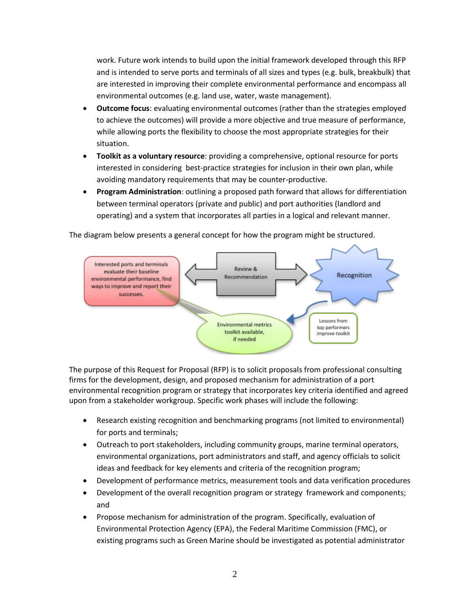work. Future work intends to build upon the initial framework developed through this RFP and is intended to serve ports and terminals of all sizes and types (e.g. bulk, breakbulk) that are interested in improving their complete environmental performance and encompass all environmental outcomes (e.g. land use, water, waste management).

- **Outcome focus**: evaluating environmental outcomes (rather than the strategies employed to achieve the outcomes) will provide a more objective and true measure of performance, while allowing ports the flexibility to choose the most appropriate strategies for their situation.
- **Toolkit as a voluntary resource**: providing a comprehensive, optional resource for ports interested in considering best-practice strategies for inclusion in their own plan, while avoiding mandatory requirements that may be counter-productive.
- **Program Administration**: outlining a proposed path forward that allows for differentiation between terminal operators (private and public) and port authorities (landlord and operating) and a system that incorporates all parties in a logical and relevant manner.

The diagram below presents a general concept for how the program might be structured.



The purpose of this Request for Proposal (RFP) is to solicit proposals from professional consulting firms for the development, design, and proposed mechanism for administration of a port environmental recognition program or strategy that incorporates key criteria identified and agreed upon from a stakeholder workgroup. Specific work phases will include the following:

- Research existing recognition and benchmarking programs (not limited to environmental) for ports and terminals;
- Outreach to port stakeholders, including community groups, marine terminal operators, environmental organizations, port administrators and staff, and agency officials to solicit ideas and feedback for key elements and criteria of the recognition program;
- Development of performance metrics, measurement tools and data verification procedures
- Development of the overall recognition program or strategy framework and components; and
- Propose mechanism for administration of the program. Specifically, evaluation of Environmental Protection Agency (EPA), the Federal Maritime Commission (FMC), or existing programs such as Green Marine should be investigated as potential administrator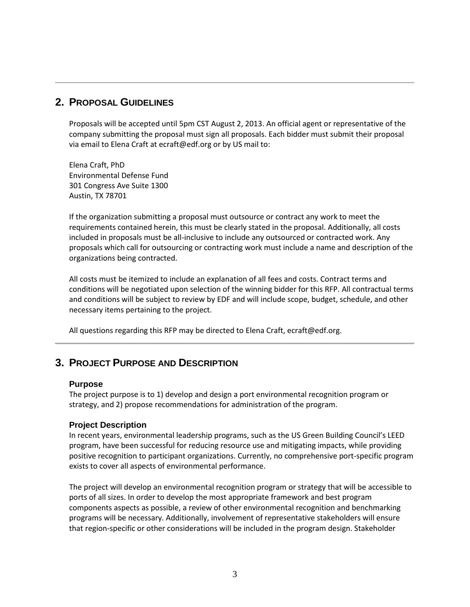## **2. PROPOSAL GUIDELINES**

Proposals will be accepted until 5pm CST August 2, 2013. An official agent or representative of the company submitting the proposal must sign all proposals. Each bidder must submit their proposal via email to Elena Craft at ecraft@edf.org or by US mail to:

Elena Craft, PhD Environmental Defense Fund 301 Congress Ave Suite 1300 Austin, TX 78701

If the organization submitting a proposal must outsource or contract any work to meet the requirements contained herein, this must be clearly stated in the proposal. Additionally, all costs included in proposals must be all-inclusive to include any outsourced or contracted work. Any proposals which call for outsourcing or contracting work must include a name and description of the organizations being contracted.

All costs must be itemized to include an explanation of all fees and costs. Contract terms and conditions will be negotiated upon selection of the winning bidder for this RFP. All contractual terms and conditions will be subject to review by EDF and will include scope, budget, schedule, and other necessary items pertaining to the project.

All questions regarding this RFP may be directed to Elena Craft, ecraft@edf.org.

# **3. PROJECT PURPOSE AND DESCRIPTION**

#### **Purpose**

The project purpose is to 1) develop and design a port environmental recognition program or strategy, and 2) propose recommendations for administration of the program.

#### **Project Description**

In recent years, environmental leadership programs, such as the US Green Building Council's LEED program, have been successful for reducing resource use and mitigating impacts, while providing positive recognition to participant organizations. Currently, no comprehensive port-specific program exists to cover all aspects of environmental performance.

The project will develop an environmental recognition program or strategy that will be accessible to ports of all sizes. In order to develop the most appropriate framework and best program components aspects as possible, a review of other environmental recognition and benchmarking programs will be necessary. Additionally, involvement of representative stakeholders will ensure that region-specific or other considerations will be included in the program design. Stakeholder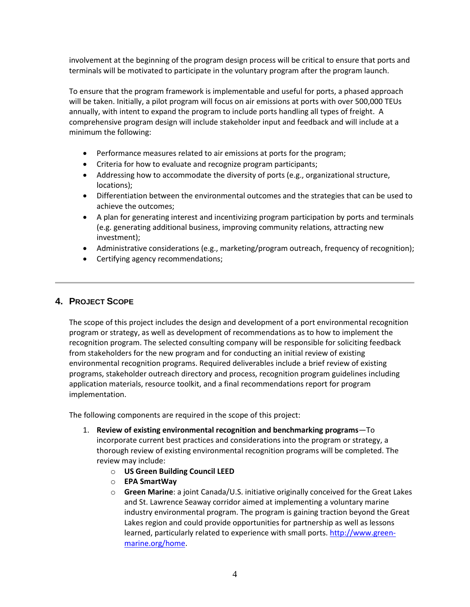involvement at the beginning of the program design process will be critical to ensure that ports and terminals will be motivated to participate in the voluntary program after the program launch.

To ensure that the program framework is implementable and useful for ports, a phased approach will be taken. Initially, a pilot program will focus on air emissions at ports with over 500,000 TEUs annually, with intent to expand the program to include ports handling all types of freight. A comprehensive program design will include stakeholder input and feedback and will include at a minimum the following:

- Performance measures related to air emissions at ports for the program;
- Criteria for how to evaluate and recognize program participants;
- Addressing how to accommodate the diversity of ports (e.g., organizational structure, locations);
- Differentiation between the environmental outcomes and the strategies that can be used to achieve the outcomes;
- A plan for generating interest and incentivizing program participation by ports and terminals (e.g. generating additional business, improving community relations, attracting new investment);
- Administrative considerations (e.g., marketing/program outreach, frequency of recognition);
- Certifying agency recommendations;

#### **4. PROJECT SCOPE**

The scope of this project includes the design and development of a port environmental recognition program or strategy, as well as development of recommendations as to how to implement the recognition program. The selected consulting company will be responsible for soliciting feedback from stakeholders for the new program and for conducting an initial review of existing environmental recognition programs. Required deliverables include a brief review of existing programs, stakeholder outreach directory and process, recognition program guidelines including application materials, resource toolkit, and a final recommendations report for program implementation.

The following components are required in the scope of this project:

- 1. **Review of existing environmental recognition and benchmarking programs**—To incorporate current best practices and considerations into the program or strategy, a thorough review of existing environmental recognition programs will be completed. The review may include:
	- o **US Green Building Council LEED**
	- o **EPA SmartWay**
	- o **Green Marine**: a joint Canada/U.S. initiative originally conceived for the Great Lakes and St. Lawrence Seaway corridor aimed at implementing a voluntary marine industry environmental program. The program is gaining traction beyond the Great Lakes region and could provide opportunities for partnership as well as lessons learned, particularly related to experience with small ports. [http://www.green](http://www.green-marine.org/home)[marine.org/home.](http://www.green-marine.org/home)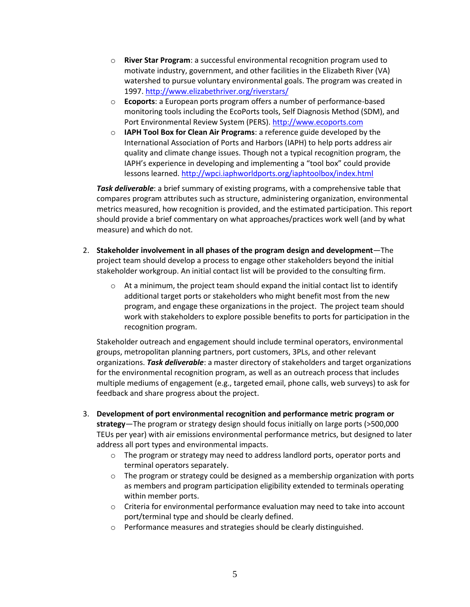- o **River Star Program**: a successful environmental recognition program used to motivate industry, government, and other facilities in the Elizabeth River (VA) watershed to pursue voluntary environmental goals. The program was created in 1997[. http://www.elizabethriver.org/riverstars/](http://www.elizabethriver.org/riverstars/)
- o **Ecoports**: a European ports program offers a number of performance-based monitoring tools including the EcoPorts tools, Self Diagnosis Method (SDM), and Port Environmental Review System (PERS). [http://www.ecoports.com](http://www.ecoports.com/)
- o **IAPH Tool Box for Clean Air Programs**: a reference guide developed by the International Association of Ports and Harbors (IAPH) to help ports address air quality and climate change issues. Though not a typical recognition program, the IAPH's experience in developing and implementing a "tool box" could provide lessons learned[. http://wpci.iaphworldports.org/iaphtoolbox/index.html](http://wpci.iaphworldports.org/iaphtoolbox/index.html)

*Task deliverable*: a brief summary of existing programs, with a comprehensive table that compares program attributes such as structure, administering organization, environmental metrics measured, how recognition is provided, and the estimated participation. This report should provide a brief commentary on what approaches/practices work well (and by what measure) and which do not.

- 2. **Stakeholder involvement in all phases of the program design and development**—The project team should develop a process to engage other stakeholders beyond the initial stakeholder workgroup. An initial contact list will be provided to the consulting firm.
	- $\circ$  At a minimum, the project team should expand the initial contact list to identify additional target ports or stakeholders who might benefit most from the new program, and engage these organizations in the project. The project team should work with stakeholders to explore possible benefits to ports for participation in the recognition program.

Stakeholder outreach and engagement should include terminal operators, environmental groups, metropolitan planning partners, port customers, 3PLs, and other relevant organizations. *Task deliverable*: a master directory of stakeholders and target organizations for the environmental recognition program, as well as an outreach process that includes multiple mediums of engagement (e.g., targeted email, phone calls, web surveys) to ask for feedback and share progress about the project.

- 3. **Development of port environmental recognition and performance metric program or strategy**—The program or strategy design should focus initially on large ports (>500,000 TEUs per year) with air emissions environmental performance metrics, but designed to later address all port types and environmental impacts.
	- $\circ$  The program or strategy may need to address landlord ports, operator ports and terminal operators separately.
	- $\circ$  The program or strategy could be designed as a membership organization with ports as members and program participation eligibility extended to terminals operating within member ports.
	- $\circ$  Criteria for environmental performance evaluation may need to take into account port/terminal type and should be clearly defined.
	- o Performance measures and strategies should be clearly distinguished.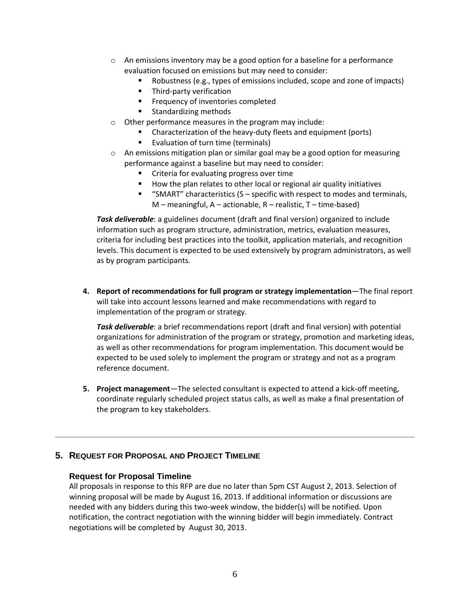- o An emissions inventory may be a good option for a baseline for a performance evaluation focused on emissions but may need to consider:
	- Robustness (e.g., types of emissions included, scope and zone of impacts)
	- **Third-party verification**
	- **Filter** Frequency of inventories completed
	- **Standardizing methods**
- o Other performance measures in the program may include:
	- **EXP** Characterization of the heavy-duty fleets and equipment (ports)
	- **EValuation of turn time (terminals)**
- $\circ$  An emissions mitigation plan or similar goal may be a good option for measuring performance against a baseline but may need to consider:
	- **EXECR** Criteria for evaluating progress over time
	- How the plan relates to other local or regional air quality initiatives
	- **"** "SMART" characteristics  $(S specific with respect to modes and terminals,$  $M$  – meaningful, A – actionable, R – realistic, T – time-based)

*Task deliverable*: a guidelines document (draft and final version) organized to include information such as program structure, administration, metrics, evaluation measures, criteria for including best practices into the toolkit, application materials, and recognition levels. This document is expected to be used extensively by program administrators, as well as by program participants.

**4. Report of recommendations for full program or strategy implementation**—The final report will take into account lessons learned and make recommendations with regard to implementation of the program or strategy.

*Task deliverable*: a brief recommendations report (draft and final version) with potential organizations for administration of the program or strategy, promotion and marketing ideas, as well as other recommendations for program implementation. This document would be expected to be used solely to implement the program or strategy and not as a program reference document.

**5. Project management**—The selected consultant is expected to attend a kick-off meeting, coordinate regularly scheduled project status calls, as well as make a final presentation of the program to key stakeholders.

#### **5. REQUEST FOR PROPOSAL AND PROJECT TIMELINE**

#### **Request for Proposal Timeline**

All proposals in response to this RFP are due no later than 5pm CST August 2, 2013. Selection of winning proposal will be made by August 16, 2013. If additional information or discussions are needed with any bidders during this two-week window, the bidder(s) will be notified. Upon notification, the contract negotiation with the winning bidder will begin immediately. Contract negotiations will be completed by August 30, 2013.